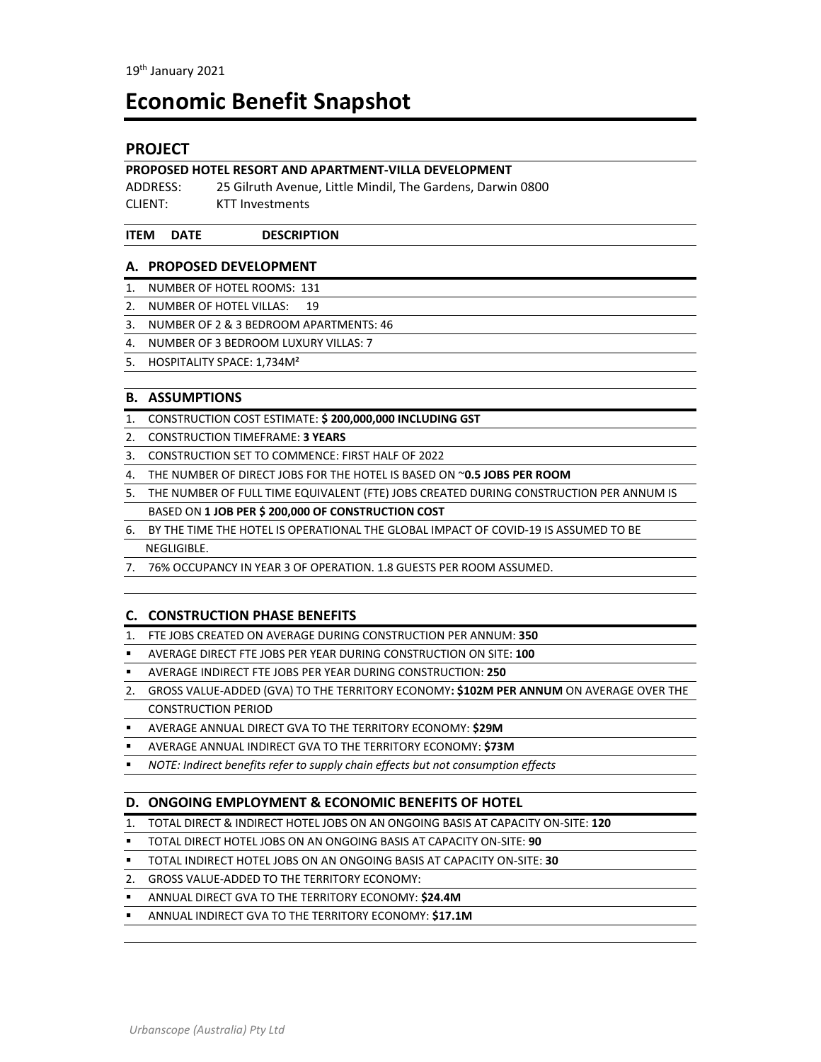# **Economic Benefit Snapshot**

# **PROJECT**

#### **PROPOSED HOTEL RESORT AND APARTMENT‐VILLA DEVELOPMENT**

ADDRESS: 25 Gilruth Avenue, Little Mindil, The Gardens, Darwin 0800 CLIENT: KTT Investments

#### **ITEM DATE DESCRIPTION**

#### **A. PROPOSED DEVELOPMENT**

- 1. NUMBER OF HOTEL ROOMS: 131
- 2. NUMBER OF HOTEL VILLAS: 19
- 3. NUMBER OF 2 & 3 BEDROOM APARTMENTS: 46
- 4. NUMBER OF 3 BEDROOM LUXURY VILLAS: 7
- 5. HOSPITALITY SPACE: 1,734M²

#### **B. ASSUMPTIONS**

- 1. CONSTRUCTION COST ESTIMATE: **\$ 200,000,000 INCLUDING GST**
- 2. CONSTRUCTION TIMEFRAME: **3 YEARS**
- 3. CONSTRUCTION SET TO COMMENCE: FIRST HALF OF 2022
- 4. THE NUMBER OF DIRECT JOBS FOR THE HOTEL IS BASED ON ~**0.5 JOBS PER ROOM**
- 5. THE NUMBER OF FULL TIME EQUIVALENT (FTE) JOBS CREATED DURING CONSTRUCTION PER ANNUM IS BASED ON **1 JOB PER \$ 200,000 OF CONSTRUCTION COST**
- 6. BY THE TIME THE HOTEL IS OPERATIONAL THE GLOBAL IMPACT OF COVID‐19 IS ASSUMED TO BE NEGLIGIBLE.
- 7. 76% OCCUPANCY IN YEAR 3 OF OPERATION. 1.8 GUESTS PER ROOM ASSUMED.

#### **C. CONSTRUCTION PHASE BENEFITS**

- 1. FTE JOBS CREATED ON AVERAGE DURING CONSTRUCTION PER ANNUM: **350**
- AVERAGE DIRECT FTE JOBS PER YEAR DURING CONSTRUCTION ON SITE: **100**
- AVERAGE INDIRECT FTE JOBS PER YEAR DURING CONSTRUCTION: **250**
- 2. GROSS VALUE‐ADDED (GVA) TO THE TERRITORY ECONOMY**: \$102M PER ANNUM** ON AVERAGE OVER THE CONSTRUCTION PERIOD
- AVERAGE ANNUAL DIRECT GVA TO THE TERRITORY ECONOMY: **\$29M**
- AVERAGE ANNUAL INDIRECT GVA TO THE TERRITORY ECONOMY: **\$73M**
- *NOTE: Indirect benefits refer to supply chain effects but not consumption effects*

#### **D. ONGOING EMPLOYMENT & ECONOMIC BENEFITS OF HOTEL**

- 1. TOTAL DIRECT & INDIRECT HOTEL JOBS ON AN ONGOING BASIS AT CAPACITY ON‐SITE: **120**
- TOTAL DIRECT HOTEL JOBS ON AN ONGOING BASIS AT CAPACITY ON‐SITE: **90**
- TOTAL INDIRECT HOTEL JOBS ON AN ONGOING BASIS AT CAPACITY ON‐SITE: **30**
- 2. GROSS VALUE‐ADDED TO THE TERRITORY ECONOMY:
- ANNUAL DIRECT GVA TO THE TERRITORY ECONOMY: **\$24.4M**
- ANNUAL INDIRECT GVA TO THE TERRITORY ECONOMY: **\$17.1M**